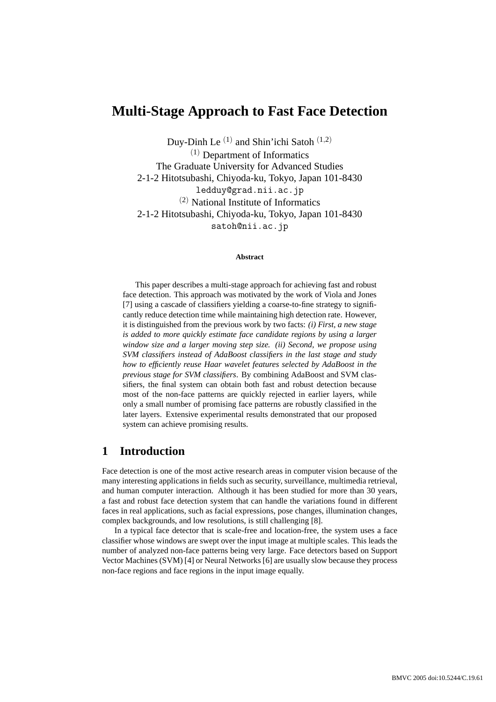# **Multi-Stage Approach to Fast Face Detection**

Duy-Dinh Le<sup>(1)</sup> and Shin'ichi Satoh<sup>(1,2)</sup> (1) Department of Informatics The Graduate University for Advanced Studies 2-1-2 Hitotsubashi, Chiyoda-ku, Tokyo, Japan 101-8430 ledduy@grad.nii.ac.jp (2) National Institute of Informatics 2-1-2 Hitotsubashi, Chiyoda-ku, Tokyo, Japan 101-8430 satoh@nii.ac.jp

#### **Abstract**

This paper describes a multi-stage approach for achieving fast and robust face detection. This approach was motivated by the work of Viola and Jones [7] using a cascade of classifiers yielding a coarse-to-fine strategy to significantly reduce detection time while maintaining high detection rate. However, it is distinguished from the previous work by two facts: *(i) First, a new stage is added to more quickly estimate face candidate regions by using a larger window size and a larger moving step size. (ii) Second, we propose using SVM classifiers instead of AdaBoost classifiers in the last stage and study how to efficiently reuse Haar wavelet features selected by AdaBoost in the previous stage for SVM classifiers*. By combining AdaBoost and SVM classifiers, the final system can obtain both fast and robust detection because most of the non-face patterns are quickly rejected in earlier layers, while only a small number of promising face patterns are robustly classified in the later layers. Extensive experimental results demonstrated that our proposed system can achieve promising results.

## **1 Introduction**

Face detection is one of the most active research areas in computer vision because of the many interesting applications in fields such as security, surveillance, multimedia retrieval, and human computer interaction. Although it has been studied for more than 30 years, a fast and robust face detection system that can handle the variations found in different faces in real applications, such as facial expressions, pose changes, illumination changes, complex backgrounds, and low resolutions, is still challenging [8].

In a typical face detector that is scale-free and location-free, the system uses a face classifier whose windows are swept over the input image at multiple scales. This leads the number of analyzed non-face patterns being very large. Face detectors based on Support Vector Machines (SVM) [4] or Neural Networks [6] are usually slow because they process non-face regions and face regions in the input image equally.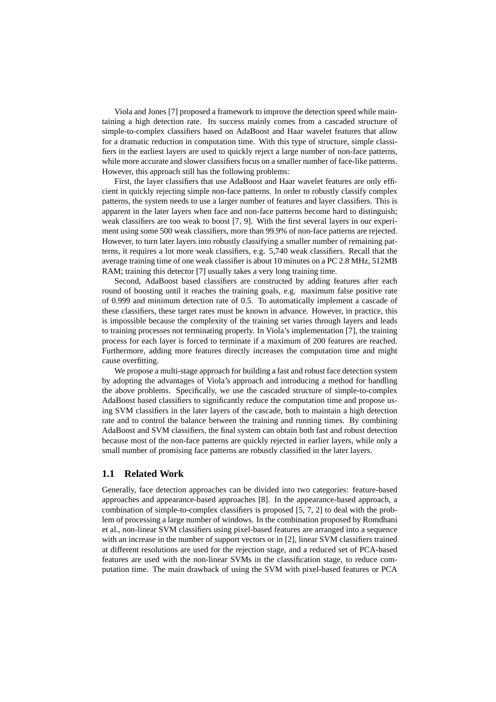Viola and Jones [7] proposed a framework to improve the detection speed while maintaining a high detection rate. Its success mainly comes from a cascaded structure of simple-to-complex classifiers based on AdaBoost and Haar wavelet features that allow for a dramatic reduction in computation time. With this type of structure, simple classifiers in the earliest layers are used to quickly reject a large number of non-face patterns, while more accurate and slower classifiers focus on a smaller number of face-like patterns. However, this approach still has the following problems:

First, the layer classifiers that use AdaBoost and Haar wavelet features are only efficient in quickly rejecting simple non-face patterns. In order to robustly classify complex patterns, the system needs to use a larger number of features and layer classifiers. This is apparent in the later layers when face and non-face patterns become hard to distinguish; weak classifiers are too weak to boost [7, 9]. With the first several layers in our experiment using some 500 weak classifiers, more than 99.9% of non-face patterns are rejected. However, to turn later layers into robustly classifying a smaller number of remaining patterns, it requires a lot more weak classifiers, e.g. 5,740 weak classifiers. Recall that the average training time of one weak classifier is about 10 minutes on a PC 2.8 MHz, 512MB RAM; training this detector [7] usually takes a very long training time.

Second, AdaBoost based classifiers are constructed by adding features after each round of boosting until it reaches the training goals, e.g. maximum false positive rate of 0.999 and minimum detection rate of 0.5. To automatically implement a cascade of these classifiers, these target rates must be known in advance. However, in practice, this is impossible because the complexity of the training set varies through layers and leads to training processes not terminating properly. In Viola's implementation [7], the training process for each layer is forced to terminate if a maximum of 200 features are reached. Furthermore, adding more features directly increases the computation time and might cause overfitting.

We propose a multi-stage approach for building a fast and robust face detection system by adopting the advantages of Viola's approach and introducing a method for handling the above problems. Specifically, we use the cascaded structure of simple-to-complex AdaBoost based classifiers to significantly reduce the computation time and propose using SVM classifiers in the later layers of the cascade, both to maintain a high detection rate and to control the balance between the training and running times. By combining AdaBoost and SVM classifiers, the final system can obtain both fast and robust detection because most of the non-face patterns are quickly rejected in earlier layers, while only a small number of promising face patterns are robustly classified in the later layers.

## **1.1 Related Work**

Generally, face detection approaches can be divided into two categories: feature-based approaches and appearance-based approaches [8]. In the appearance-based approach, a combination of simple-to-complex classifiers is proposed [5, 7, 2] to deal with the problem of processing a large number of windows. In the combination proposed by Romdhani et al., non-linear SVM classifiers using pixel-based features are arranged into a sequence with an increase in the number of support vectors or in [2], linear SVM classifiers trained at different resolutions are used for the rejection stage, and a reduced set of PCA-based features are used with the non-linear SVMs in the classification stage, to reduce computation time. The main drawback of using the SVM with pixel-based features or PCA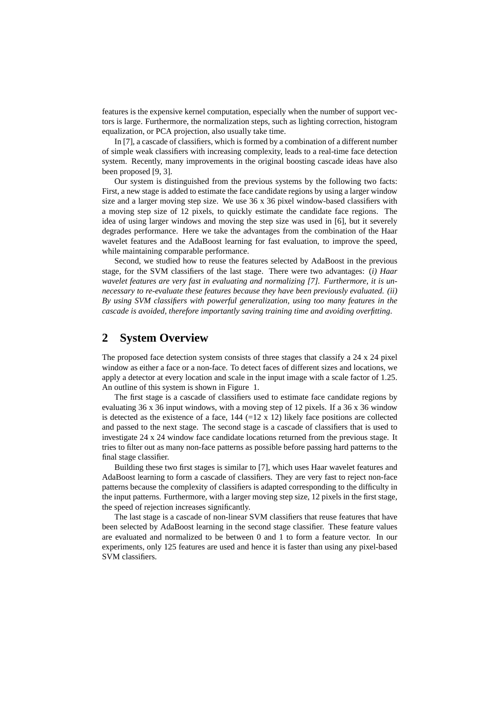features is the expensive kernel computation, especially when the number of support vectors is large. Furthermore, the normalization steps, such as lighting correction, histogram equalization, or PCA projection, also usually take time.

In [7], a cascade of classifiers, which is formed by a combination of a different number of simple weak classifiers with increasing complexity, leads to a real-time face detection system. Recently, many improvements in the original boosting cascade ideas have also been proposed [9, 3].

Our system is distinguished from the previous systems by the following two facts: First, a new stage is added to estimate the face candidate regions by using a larger window size and a larger moving step size. We use 36 x 36 pixel window-based classifiers with a moving step size of 12 pixels, to quickly estimate the candidate face regions. The idea of using larger windows and moving the step size was used in [6], but it severely degrades performance. Here we take the advantages from the combination of the Haar wavelet features and the AdaBoost learning for fast evaluation, to improve the speed, while maintaining comparable performance.

Second, we studied how to reuse the features selected by AdaBoost in the previous stage, for the SVM classifiers of the last stage. There were two advantages: (*i) Haar wavelet features are very fast in evaluating and normalizing [7]. Furthermore, it is unnecessary to re-evaluate these features because they have been previously evaluated. (ii) By using SVM classifiers with powerful generalization, using too many features in the cascade is avoided, therefore importantly saving training time and avoiding overfitting*.

## **2 System Overview**

The proposed face detection system consists of three stages that classify a 24 x 24 pixel window as either a face or a non-face. To detect faces of different sizes and locations, we apply a detector at every location and scale in the input image with a scale factor of 1.25. An outline of this system is shown in Figure 1.

The first stage is a cascade of classifiers used to estimate face candidate regions by evaluating 36 x 36 input windows, with a moving step of 12 pixels. If a 36 x 36 window is detected as the existence of a face,  $144$  (=12 x 12) likely face positions are collected and passed to the next stage. The second stage is a cascade of classifiers that is used to investigate 24 x 24 window face candidate locations returned from the previous stage. It tries to filter out as many non-face patterns as possible before passing hard patterns to the final stage classifier.

Building these two first stages is similar to [7], which uses Haar wavelet features and AdaBoost learning to form a cascade of classifiers. They are very fast to reject non-face patterns because the complexity of classifiers is adapted corresponding to the difficulty in the input patterns. Furthermore, with a larger moving step size, 12 pixels in the first stage, the speed of rejection increases significantly.

The last stage is a cascade of non-linear SVM classifiers that reuse features that have been selected by AdaBoost learning in the second stage classifier. These feature values are evaluated and normalized to be between 0 and 1 to form a feature vector. In our experiments, only 125 features are used and hence it is faster than using any pixel-based SVM classifiers.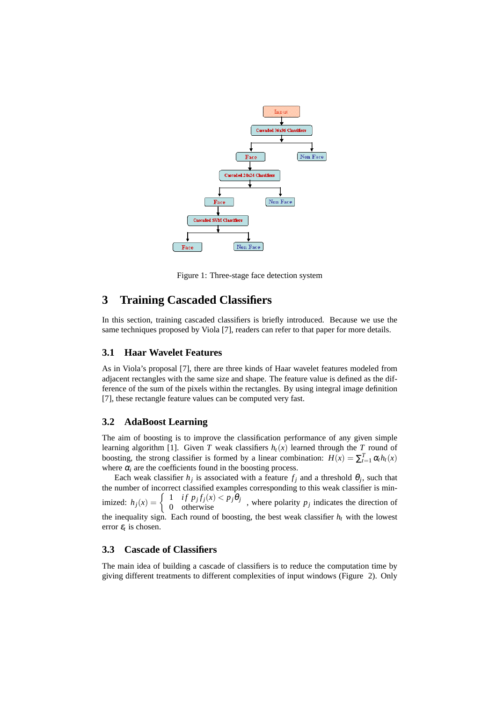

Figure 1: Three-stage face detection system

## **3 Training Cascaded Classifiers**

In this section, training cascaded classifiers is briefly introduced. Because we use the same techniques proposed by Viola [7], readers can refer to that paper for more details.

### **3.1 Haar Wavelet Features**

As in Viola's proposal [7], there are three kinds of Haar wavelet features modeled from adjacent rectangles with the same size and shape. The feature value is defined as the difference of the sum of the pixels within the rectangles. By using integral image definition [7], these rectangle feature values can be computed very fast.

### **3.2 AdaBoost Learning**

The aim of boosting is to improve the classification performance of any given simple learning algorithm [1]. Given *T* weak classifiers  $h_t(x)$  learned through the *T* round of boosting, the strong classifier is formed by a linear combination:  $H(x) = \sum_{t=1}^{T} \alpha_t h_t(x)$ where  $\alpha_i$  are the coefficients found in the boosting process.

Each weak classifier  $h_j$  is associated with a feature  $f_j$  and a threshold  $\theta_j$ , such that the number of incorrect classified examples corresponding to this weak classifier is minimized:  $h_j(x) = \begin{cases} 1 & \text{if } p_j f_j(x) < p_j \theta_j \\ 0 & \text{otherwise} \end{cases}$ , where polarity  $p_j$  indicates the direction of the inequality sign. Each round of boosting, the best weak classifier  $h_t$  with the lowest error  $\varepsilon$ <sub>t</sub> is chosen.

### **3.3 Cascade of Classifiers**

The main idea of building a cascade of classifiers is to reduce the computation time by giving different treatments to different complexities of input windows (Figure 2). Only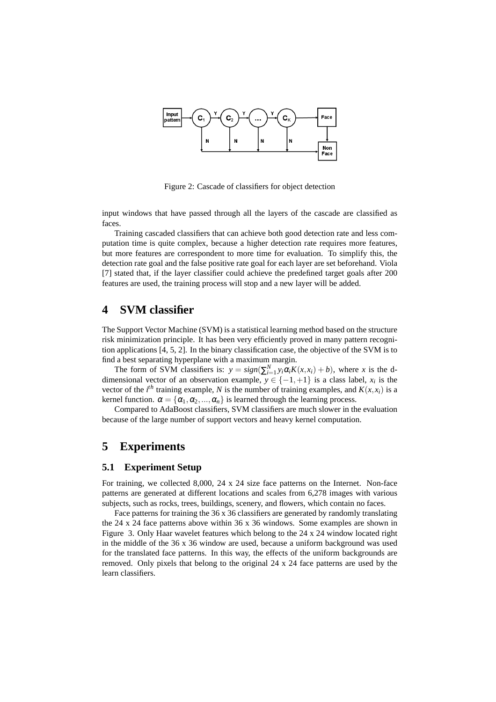

Figure 2: Cascade of classifiers for object detection

input windows that have passed through all the layers of the cascade are classified as faces.

Training cascaded classifiers that can achieve both good detection rate and less computation time is quite complex, because a higher detection rate requires more features, but more features are correspondent to more time for evaluation. To simplify this, the detection rate goal and the false positive rate goal for each layer are set beforehand. Viola [7] stated that, if the layer classifier could achieve the predefined target goals after 200 features are used, the training process will stop and a new layer will be added.

## **4 SVM classifier**

The Support Vector Machine (SVM) is a statistical learning method based on the structure risk minimization principle. It has been very efficiently proved in many pattern recognition applications  $[4, 5, 2]$ . In the binary classification case, the objective of the SVM is to find a best separating hyperplane with a maximum margin.

The form of SVM classifiers is:  $y = sign(\sum_{i=1}^{N} y_i \alpha_i K(x, x_i) + b)$ , where *x* is the ddimensional vector of an observation example,  $y \in \{-1, +1\}$  is a class label,  $x_i$  is the vector of the  $i^{th}$  training example, *N* is the number of training examples, and  $K(x, x_i)$  is a kernel function.  $\alpha = {\alpha_1, \alpha_2, ..., \alpha_n}$  is learned through the learning process.

Compared to AdaBoost classifiers, SVM classifiers are much slower in the evaluation because of the large number of support vectors and heavy kernel computation.

## **5 Experiments**

### **5.1 Experiment Setup**

For training, we collected 8,000, 24 x 24 size face patterns on the Internet. Non-face patterns are generated at different locations and scales from 6,278 images with various subjects, such as rocks, trees, buildings, scenery, and flowers, which contain no faces.

Face patterns for training the 36 x 36 classifiers are generated by randomly translating the 24 x 24 face patterns above within 36 x 36 windows. Some examples are shown in Figure 3. Only Haar wavelet features which belong to the 24 x 24 window located right in the middle of the 36 x 36 window are used, because a uniform background was used for the translated face patterns. In this way, the effects of the uniform backgrounds are removed. Only pixels that belong to the original 24 x 24 face patterns are used by the learn classifiers.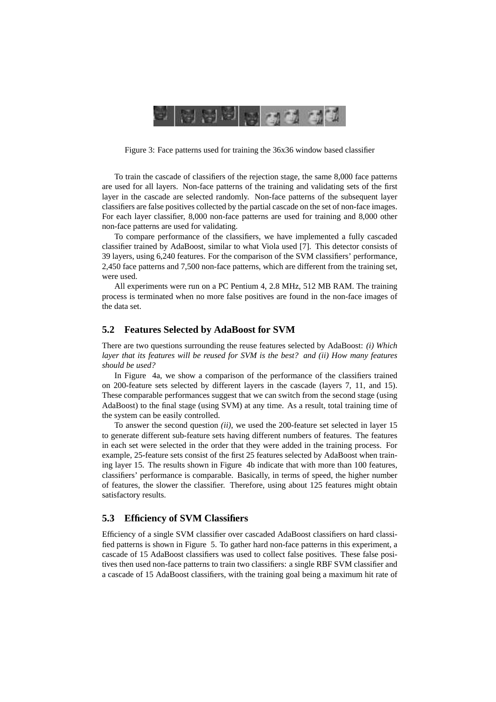

Figure 3: Face patterns used for training the 36x36 window based classifier

To train the cascade of classifiers of the rejection stage, the same 8,000 face patterns are used for all layers. Non-face patterns of the training and validating sets of the first layer in the cascade are selected randomly. Non-face patterns of the subsequent layer classifiers are false positives collected by the partial cascade on the set of non-face images. For each layer classifier, 8,000 non-face patterns are used for training and 8,000 other non-face patterns are used for validating.

To compare performance of the classifiers, we have implemented a fully cascaded classifier trained by AdaBoost, similar to what Viola used [7]. This detector consists of 39 layers, using 6,240 features. For the comparison of the SVM classifiers' performance, 2,450 face patterns and 7,500 non-face patterns, which are different from the training set, were used.

All experiments were run on a PC Pentium 4, 2.8 MHz, 512 MB RAM. The training process is terminated when no more false positives are found in the non-face images of the data set.

### **5.2 Features Selected by AdaBoost for SVM**

There are two questions surrounding the reuse features selected by AdaBoost: *(i) Which layer that its features will be reused for SVM is the best? and (ii) How many features should be used?*

In Figure 4a, we show a comparison of the performance of the classifiers trained on 200-feature sets selected by different layers in the cascade (layers 7, 11, and 15). These comparable performances suggest that we can switch from the second stage (using AdaBoost) to the final stage (using SVM) at any time. As a result, total training time of the system can be easily controlled.

To answer the second question *(ii)*, we used the 200-feature set selected in layer 15 to generate different sub-feature sets having different numbers of features. The features in each set were selected in the order that they were added in the training process. For example, 25-feature sets consist of the first 25 features selected by AdaBoost when training layer 15. The results shown in Figure 4b indicate that with more than 100 features, classifiers' performance is comparable. Basically, in terms of speed, the higher number of features, the slower the classifier. Therefore, using about 125 features might obtain satisfactory results.

#### **5.3 Efficiency of SVM Classifiers**

Efficiency of a single SVM classifier over cascaded AdaBoost classifiers on hard classified patterns is shown in Figure 5. To gather hard non-face patterns in this experiment, a cascade of 15 AdaBoost classifiers was used to collect false positives. These false positives then used non-face patterns to train two classifiers: a single RBF SVM classifier and a cascade of 15 AdaBoost classifiers, with the training goal being a maximum hit rate of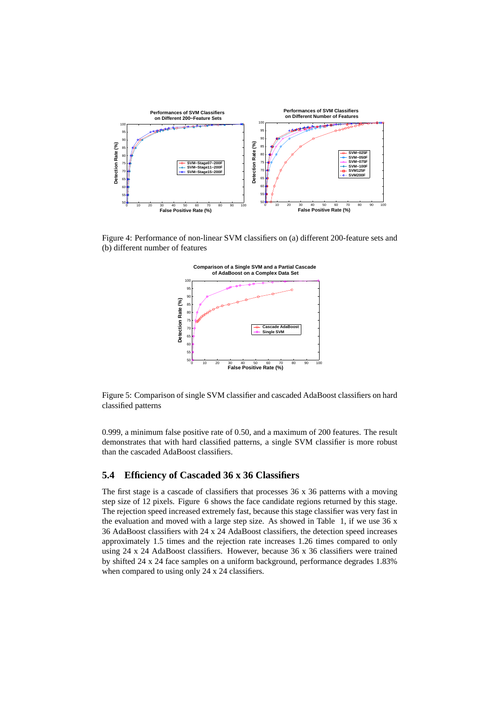

Figure 4: Performance of non-linear SVM classifiers on (a) different 200-feature sets and (b) different number of features



Figure 5: Comparison of single SVM classifier and cascaded AdaBoost classifiers on hard classified patterns

0.999, a minimum false positive rate of 0.50, and a maximum of 200 features. The result demonstrates that with hard classified patterns, a single SVM classifier is more robust than the cascaded AdaBoost classifiers.

## **5.4 Efficiency of Cascaded 36 x 36 Classifiers**

The first stage is a cascade of classifiers that processes 36 x 36 patterns with a moving step size of 12 pixels. Figure 6 shows the face candidate regions returned by this stage. The rejection speed increased extremely fast, because this stage classifier was very fast in the evaluation and moved with a large step size. As showed in Table 1, if we use  $36 \times$ 36 AdaBoost classifiers with 24 x 24 AdaBoost classifiers, the detection speed increases approximately 1.5 times and the rejection rate increases 1.26 times compared to only using 24 x 24 AdaBoost classifiers. However, because 36 x 36 classifiers were trained by shifted 24 x 24 face samples on a uniform background, performance degrades 1.83% when compared to using only 24 x 24 classifiers.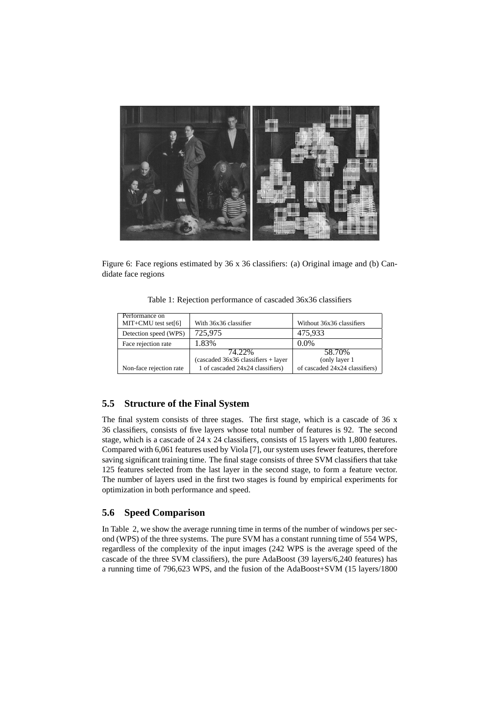

Figure 6: Face regions estimated by 36 x 36 classifiers: (a) Original image and (b) Candidate face regions

| Performance on<br>$MIT+CMU$ test set[6] | With 36x36 classifier                            | Without 36x36 classifiers      |
|-----------------------------------------|--------------------------------------------------|--------------------------------|
| Detection speed (WPS)                   | 725,975                                          | 475,933                        |
| Face rejection rate                     | 1.83%                                            | $0.0\%$                        |
|                                         | 74.22%<br>$(cascaded 36x36 classifiers + layer)$ | 58.70%<br>(only layer 1)       |
| Non-face rejection rate                 | 1 of cascaded 24x24 classifiers)                 | of cascaded 24x24 classifiers) |

Table 1: Rejection performance of cascaded 36x36 classifiers

## **5.5 Structure of the Final System**

The final system consists of three stages. The first stage, which is a cascade of 36 x 36 classifiers, consists of five layers whose total number of features is 92. The second stage, which is a cascade of 24 x 24 classifiers, consists of 15 layers with 1,800 features. Compared with 6,061 features used by Viola [7], our system uses fewer features, therefore saving significant training time. The final stage consists of three SVM classifiers that take 125 features selected from the last layer in the second stage, to form a feature vector. The number of layers used in the first two stages is found by empirical experiments for optimization in both performance and speed.

## **5.6 Speed Comparison**

In Table 2, we show the average running time in terms of the number of windows per second (WPS) of the three systems. The pure SVM has a constant running time of 554 WPS, regardless of the complexity of the input images (242 WPS is the average speed of the cascade of the three SVM classifiers), the pure AdaBoost (39 layers/6,240 features) has a running time of 796,623 WPS, and the fusion of the AdaBoost+SVM (15 layers/1800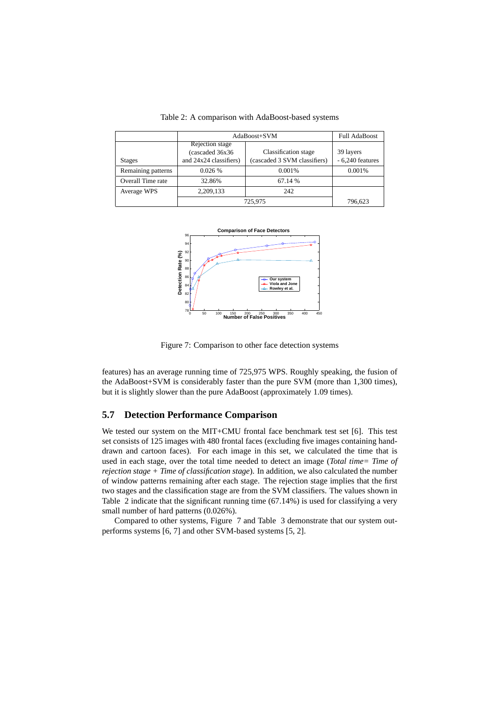Table 2: A comparison with AdaBoost-based systems

|                    | AdaBoost+SVM           |                              | <b>Full AdaBoost</b> |
|--------------------|------------------------|------------------------------|----------------------|
|                    | Rejection stage        |                              |                      |
|                    | (cascaded 36x36)       | Classification stage         | 39 layers            |
| <b>Stages</b>      | and 24x24 classifiers) | (cascaded 3 SVM classifiers) | $-6,240$ features    |
| Remaining patterns | 0.026%                 | 0.001%                       | 0.001%               |
| Overall Time rate  | 32.86%                 | 67.14 %                      |                      |
| Average WPS        | 2,209,133              | 242                          |                      |
|                    | 725,975                |                              | 796.623              |



Figure 7: Comparison to other face detection systems

features) has an average running time of 725,975 WPS. Roughly speaking, the fusion of the AdaBoost+SVM is considerably faster than the pure SVM (more than 1,300 times), but it is slightly slower than the pure AdaBoost (approximately 1.09 times).

### **5.7 Detection Performance Comparison**

We tested our system on the MIT+CMU frontal face benchmark test set [6]. This test set consists of 125 images with 480 frontal faces (excluding five images containing handdrawn and cartoon faces). For each image in this set, we calculated the time that is used in each stage, over the total time needed to detect an image (*Total time= Time of rejection stage + Time of classification stage*). In addition, we also calculated the number of window patterns remaining after each stage. The rejection stage implies that the first two stages and the classification stage are from the SVM classifiers. The values shown in Table 2 indicate that the significant running time (67.14%) is used for classifying a very small number of hard patterns (0.026%).

Compared to other systems, Figure 7 and Table 3 demonstrate that our system outperforms systems [6, 7] and other SVM-based systems [5, 2].